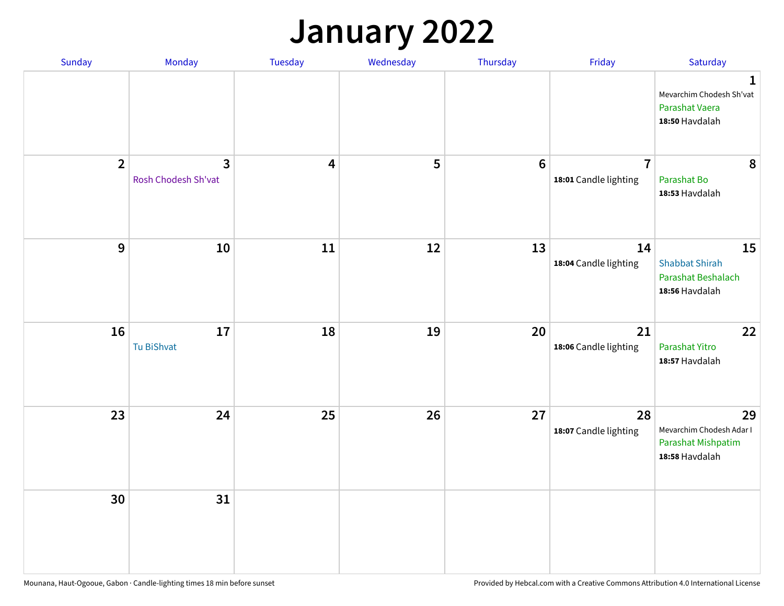## **January 2022**

| Sunday         | Monday                   | Tuesday                 | Wednesday | Thursday        | Friday                                  | Saturday                                                                     |
|----------------|--------------------------|-------------------------|-----------|-----------------|-----------------------------------------|------------------------------------------------------------------------------|
|                |                          |                         |           |                 |                                         | $\mathbf{1}$<br>Mevarchim Chodesh Sh'vat<br>Parashat Vaera<br>18:50 Havdalah |
| $\overline{2}$ | 3<br>Rosh Chodesh Sh'vat | $\overline{\mathbf{4}}$ | 5         | $6\phantom{1}6$ | $\overline{7}$<br>18:01 Candle lighting | 8<br>Parashat Bo<br>18:53 Havdalah                                           |
| $\mathbf{9}$   | 10                       | 11                      | 12        | 13              | 14<br>18:04 Candle lighting             | 15<br><b>Shabbat Shirah</b><br>Parashat Beshalach<br>18:56 Havdalah          |
| 16             | 17<br>Tu BiShvat         | 18                      | 19        | 20              | 21<br>18:06 Candle lighting             | 22<br>Parashat Yitro<br>18:57 Havdalah                                       |
| 23             | 24                       | 25                      | 26        | 27              | 28<br>18:07 Candle lighting             | 29<br>Mevarchim Chodesh Adar I<br>Parashat Mishpatim<br>18:58 Havdalah       |
| 30             | 31                       |                         |           |                 |                                         |                                                                              |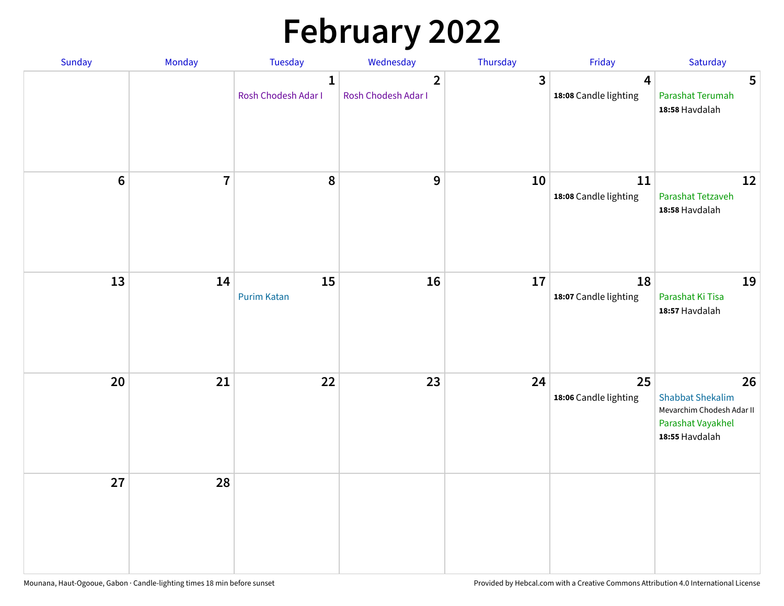# **February 2022**

| Sunday | Monday                  | <b>Tuesday</b>                      | Wednesday                                      | Thursday | Friday                                           | Saturday                                                                                          |
|--------|-------------------------|-------------------------------------|------------------------------------------------|----------|--------------------------------------------------|---------------------------------------------------------------------------------------------------|
|        |                         | $\mathbf{1}$<br>Rosh Chodesh Adar I | $\overline{\mathbf{2}}$<br>Rosh Chodesh Adar I | 3        | $\overline{\mathbf{4}}$<br>18:08 Candle lighting | 5<br>Parashat Terumah<br>18:58 Havdalah                                                           |
| $6\,$  | $\overline{\mathbf{7}}$ | 8                                   | 9                                              | 10       | 11<br>18:08 Candle lighting                      | 12<br>Parashat Tetzaveh<br>18:58 Havdalah                                                         |
| 13     | 14                      | 15<br><b>Purim Katan</b>            | 16                                             | 17       | 18<br>18:07 Candle lighting                      | 19<br>Parashat Ki Tisa<br>18:57 Havdalah                                                          |
| 20     | 21                      | 22                                  | 23                                             | 24       | 25<br>18:06 Candle lighting                      | 26<br><b>Shabbat Shekalim</b><br>Mevarchim Chodesh Adar II<br>Parashat Vayakhel<br>18:55 Havdalah |
| 27     | 28                      |                                     |                                                |          |                                                  |                                                                                                   |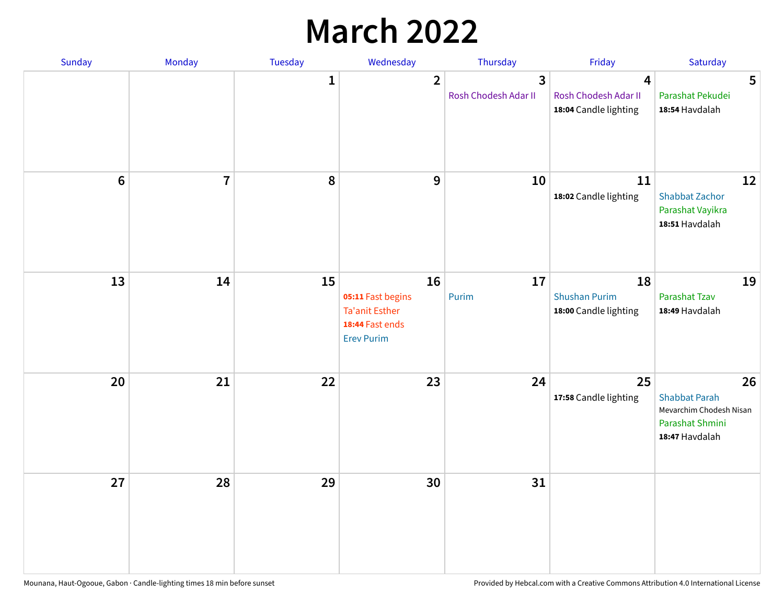## **March 2022**

| Sunday           | Monday         | <b>Tuesday</b> | Wednesday                                                                                | Thursday                  | Friday                                              | Saturday                                                                                   |
|------------------|----------------|----------------|------------------------------------------------------------------------------------------|---------------------------|-----------------------------------------------------|--------------------------------------------------------------------------------------------|
|                  |                | $\mathbf{1}$   | $\overline{2}$                                                                           | 3<br>Rosh Chodesh Adar II | 4<br>Rosh Chodesh Adar II<br>18:04 Candle lighting  | 5<br>Parashat Pekudei<br>18:54 Havdalah                                                    |
| $\boldsymbol{6}$ | $\overline{7}$ | 8              | 9                                                                                        | 10                        | 11<br>18:02 Candle lighting                         | 12<br><b>Shabbat Zachor</b><br>Parashat Vayikra<br>18:51 Havdalah                          |
| 13               | 14             | 15             | 16<br>05:11 Fast begins<br><b>Ta'anit Esther</b><br>18:44 Fast ends<br><b>Erev Purim</b> | 17<br>Purim               | 18<br><b>Shushan Purim</b><br>18:00 Candle lighting | 19<br>Parashat Tzav<br>18:49 Havdalah                                                      |
| 20               | 21             | 22             | 23                                                                                       | 24                        | 25<br>17:58 Candle lighting                         | 26<br><b>Shabbat Parah</b><br>Mevarchim Chodesh Nisan<br>Parashat Shmini<br>18:47 Havdalah |
| 27               | 28             | 29             | 30                                                                                       | 31                        |                                                     |                                                                                            |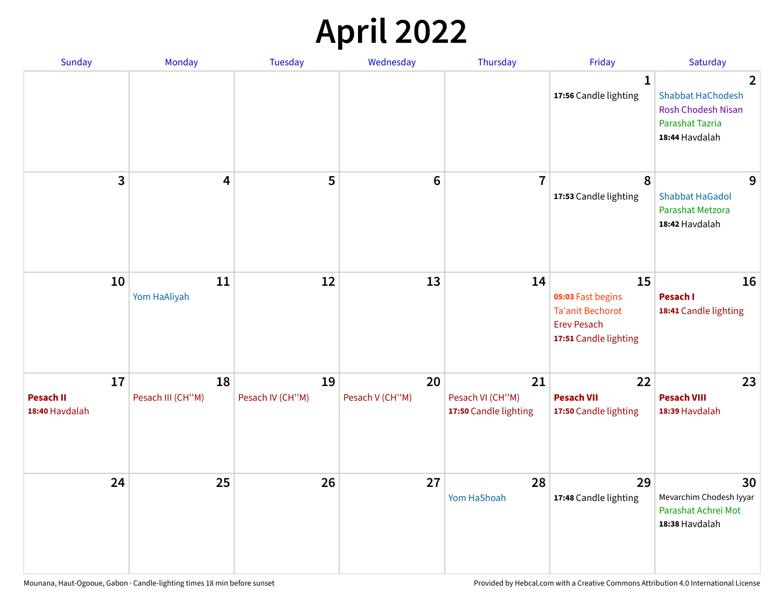## **April 2022**

| Sunday                                   | Monday                  | <b>Tuesday</b>         | Wednesday             | Thursday                                        | Friday                                                                                            | Saturday                                                                                                            |
|------------------------------------------|-------------------------|------------------------|-----------------------|-------------------------------------------------|---------------------------------------------------------------------------------------------------|---------------------------------------------------------------------------------------------------------------------|
|                                          |                         |                        |                       |                                                 | 1<br>17:56 Candle lighting                                                                        | $\overline{2}$<br><b>Shabbat HaChodesh</b><br><b>Rosh Chodesh Nisan</b><br><b>Parashat Tazria</b><br>18:44 Havdalah |
| 3                                        | $\overline{\mathbf{4}}$ | 5                      | $6\phantom{1}6$       | $\overline{7}$                                  | 8<br>17:53 Candle lighting                                                                        | 9<br><b>Shabbat HaGadol</b><br>Parashat Metzora<br>18:42 Havdalah                                                   |
| 10                                       | 11<br>Yom HaAliyah      | 12                     | 13                    | 14                                              | 15<br>05:03 Fast begins<br><b>Ta'anit Bechorot</b><br><b>Erev Pesach</b><br>17:51 Candle lighting | 16<br>Pesach I<br>18:41 Candle lighting                                                                             |
| 17<br><b>Pesach II</b><br>18:40 Havdalah | 18<br>Pesach III (CH"M) | 19<br>Pesach IV (CH"M) | 20<br>Pesach V (CH"M) | 21<br>Pesach VI (CH"M)<br>17:50 Candle lighting | 22<br><b>Pesach VII</b><br>17:50 Candle lighting                                                  | 23<br><b>Pesach VIII</b><br>18:39 Havdalah                                                                          |
| 24                                       | 25                      | 26                     | 27                    | 28<br>Yom HaShoah                               | 29<br>17:48 Candle lighting                                                                       | 30<br>Mevarchim Chodesh Iyyar<br>Parashat Achrei Mot<br>18:38 Havdalah                                              |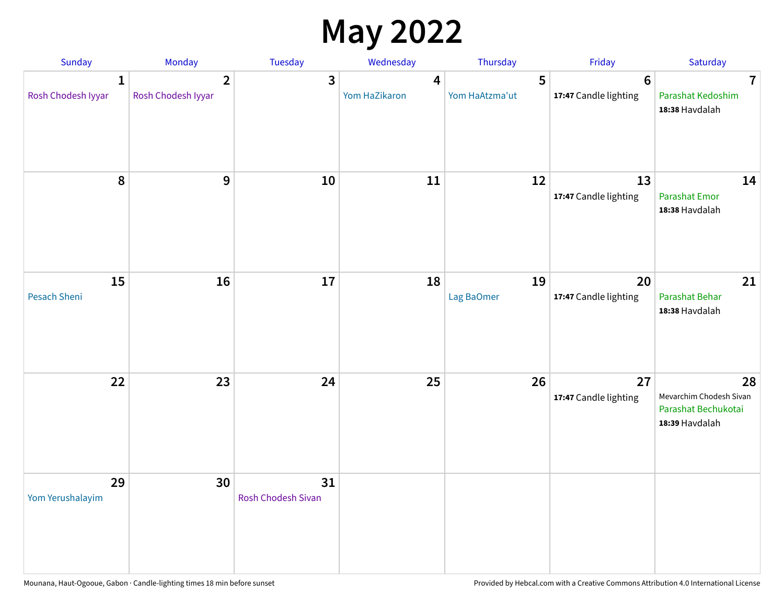## **May 2022**

| Sunday                             | Monday                               | Tuesday                  | Wednesday          | Thursday            | Friday                                   | Saturday                                                               |
|------------------------------------|--------------------------------------|--------------------------|--------------------|---------------------|------------------------------------------|------------------------------------------------------------------------|
| $\mathbf{1}$<br>Rosh Chodesh Iyyar | $\overline{2}$<br>Rosh Chodesh Iyyar | 3                        | 4<br>Yom HaZikaron | 5<br>Yom HaAtzma'ut | $6\phantom{1}6$<br>17:47 Candle lighting | $\overline{7}$<br>Parashat Kedoshim<br>18:38 Havdalah                  |
| 8                                  | 9                                    | 10                       | 11                 | 12                  | 13<br>17:47 Candle lighting              | 14<br>Parashat Emor<br>18:38 Havdalah                                  |
| 15<br>Pesach Sheni                 | 16                                   | 17                       | 18                 | 19<br>Lag BaOmer    | 20<br>17:47 Candle lighting              | 21<br>Parashat Behar<br>18:38 Havdalah                                 |
| 22                                 | 23                                   | 24                       | 25                 | 26                  | 27<br>17:47 Candle lighting              | 28<br>Mevarchim Chodesh Sivan<br>Parashat Bechukotai<br>18:39 Havdalah |
| 29<br>Yom Yerushalayim             | 30                                   | 31<br>Rosh Chodesh Sivan |                    |                     |                                          |                                                                        |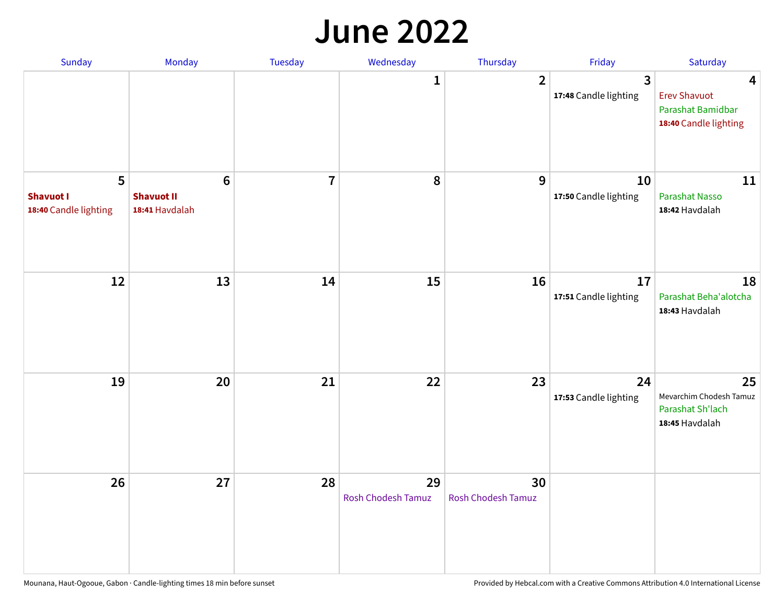#### **June 2022**

| Sunday                                         | Monday                                                | Tuesday        | Wednesday                       | Thursday                        | Friday                      | Saturday                                                               |
|------------------------------------------------|-------------------------------------------------------|----------------|---------------------------------|---------------------------------|-----------------------------|------------------------------------------------------------------------|
|                                                |                                                       |                | 1                               | $\overline{2}$                  | 3<br>17:48 Candle lighting  | 4<br><b>Erev Shavuot</b><br>Parashat Bamidbar<br>18:40 Candle lighting |
| 5<br><b>Shavuot I</b><br>18:40 Candle lighting | $6\phantom{1}$<br><b>Shavuot II</b><br>18:41 Havdalah | $\overline{7}$ | 8                               | 9                               | 10<br>17:50 Candle lighting | 11<br><b>Parashat Nasso</b><br>18:42 Havdalah                          |
| 12                                             | 13                                                    | 14             | 15                              | 16                              | 17<br>17:51 Candle lighting | 18<br>Parashat Beha'alotcha<br>18:43 Havdalah                          |
| 19                                             | 20                                                    | 21             | 22                              | 23                              | 24<br>17:53 Candle lighting | 25<br>Mevarchim Chodesh Tamuz<br>Parashat Sh'lach<br>18:45 Havdalah    |
| 26                                             | 27                                                    | 28             | 29<br><b>Rosh Chodesh Tamuz</b> | 30<br><b>Rosh Chodesh Tamuz</b> |                             |                                                                        |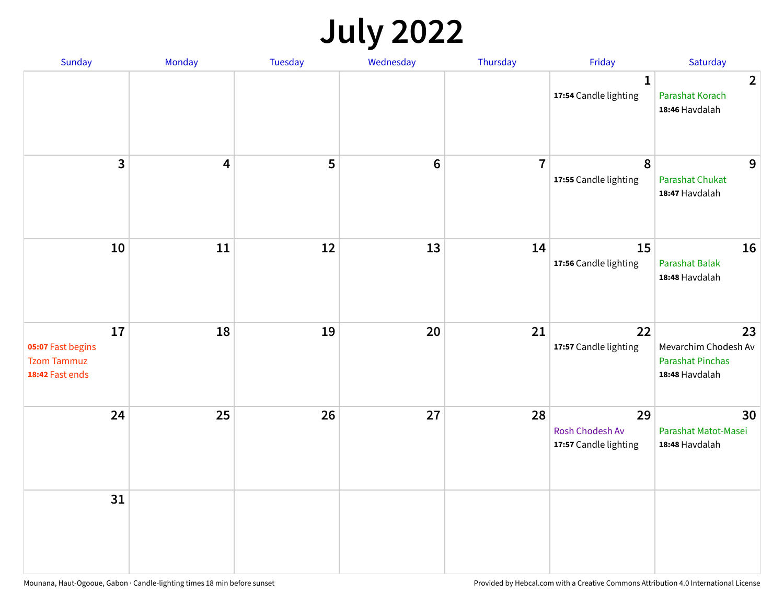## **July 2022**

| Sunday                                                           | Monday                  | Tuesday | Wednesday | Thursday       | Friday                                         | Saturday                                                                |
|------------------------------------------------------------------|-------------------------|---------|-----------|----------------|------------------------------------------------|-------------------------------------------------------------------------|
|                                                                  |                         |         |           |                | $\mathbf{1}$<br>17:54 Candle lighting          | $\overline{2}$<br>Parashat Korach<br>18:46 Havdalah                     |
| $\mathbf{3}$                                                     | $\overline{\mathbf{4}}$ | 5       | $\bf 6$   | $\overline{7}$ | $\pmb{8}$<br>17:55 Candle lighting             | 9<br>Parashat Chukat<br>18:47 Havdalah                                  |
| 10                                                               | 11                      | 12      | 13        | 14             | 15<br>17:56 Candle lighting                    | 16<br><b>Parashat Balak</b><br>18:48 Havdalah                           |
| 17<br>05:07 Fast begins<br><b>Tzom Tammuz</b><br>18:42 Fast ends | 18                      | 19      | 20        | 21             | 22<br>17:57 Candle lighting                    | 23<br>Mevarchim Chodesh Av<br><b>Parashat Pinchas</b><br>18:48 Havdalah |
| 24                                                               | 25                      | 26      | 27        | 28             | 29<br>Rosh Chodesh Av<br>17:57 Candle lighting | 30<br>Parashat Matot-Masei<br>18:48 Havdalah                            |
| 31                                                               |                         |         |           |                |                                                |                                                                         |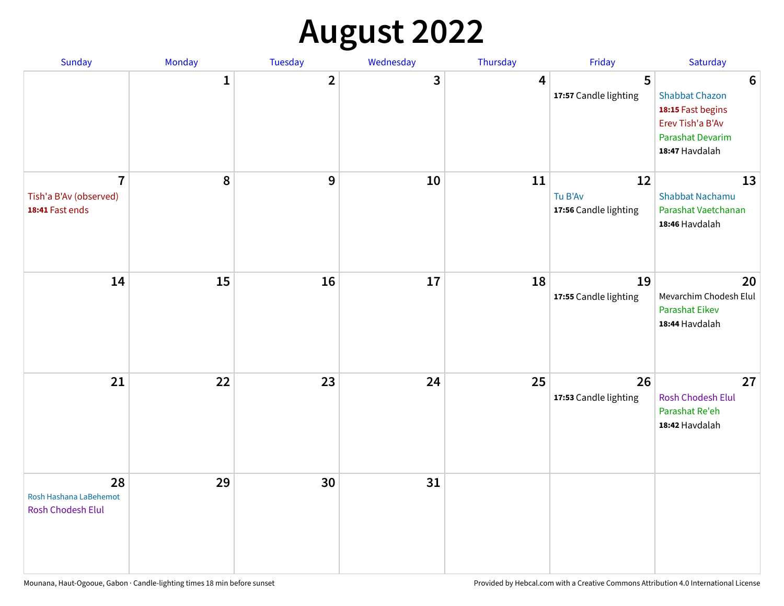## **August 2022**

| Sunday                                                      | Monday       | Tuesday        | Wednesday | Thursday | Friday                                 | Saturday                                                                                                                |
|-------------------------------------------------------------|--------------|----------------|-----------|----------|----------------------------------------|-------------------------------------------------------------------------------------------------------------------------|
|                                                             | $\mathbf{1}$ | $\overline{2}$ | 3         | 4        | 5<br>17:57 Candle lighting             | $6\phantom{1}6$<br><b>Shabbat Chazon</b><br>18:15 Fast begins<br>Erev Tish'a B'Av<br>Parashat Devarim<br>18:47 Havdalah |
| $\overline{7}$<br>Tish'a B'Av (observed)<br>18:41 Fast ends | 8            | 9              | 10        | 11       | 12<br>Tu B'Av<br>17:56 Candle lighting | 13<br><b>Shabbat Nachamu</b><br>Parashat Vaetchanan<br>18:46 Havdalah                                                   |
| 14                                                          | 15           | 16             | 17        | 18       | 19<br>17:55 Candle lighting            | 20<br>Mevarchim Chodesh Elul<br>Parashat Eikev<br>18:44 Havdalah                                                        |
| 21                                                          | 22           | 23             | 24        | 25       | 26<br>17:53 Candle lighting            | 27<br>Rosh Chodesh Elul<br>Parashat Re'eh<br>18:42 Havdalah                                                             |
| 28<br>Rosh Hashana LaBehemot<br>Rosh Chodesh Elul           | 29           | 30             | 31        |          |                                        |                                                                                                                         |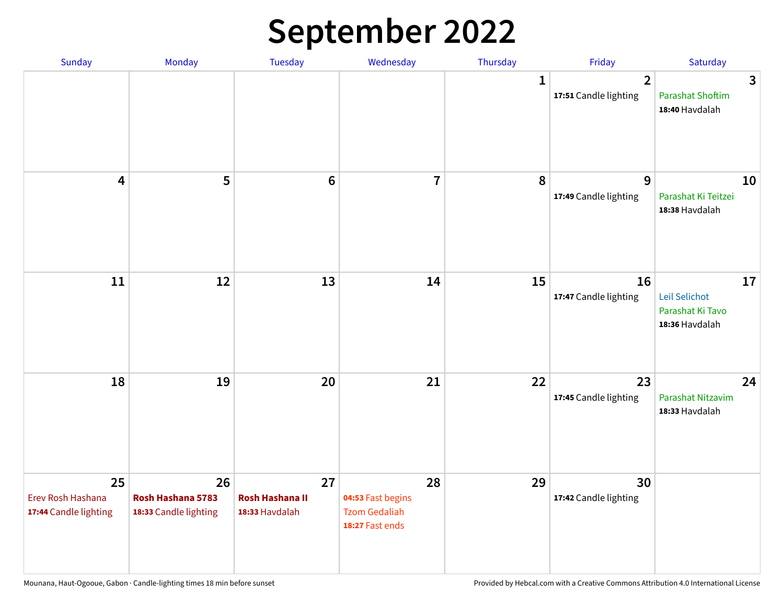## **September 2022**

| Sunday                                           | Monday                                           | Tuesday                                        | Wednesday                                                          | Thursday     | Friday                                  | Saturday                                                  |
|--------------------------------------------------|--------------------------------------------------|------------------------------------------------|--------------------------------------------------------------------|--------------|-----------------------------------------|-----------------------------------------------------------|
|                                                  |                                                  |                                                |                                                                    | $\mathbf{1}$ | $\overline{2}$<br>17:51 Candle lighting | 3<br><b>Parashat Shoftim</b><br>18:40 Havdalah            |
| $\overline{\mathbf{4}}$                          | 5                                                | $6\phantom{1}6$                                | $\overline{7}$                                                     | 8            | 9<br>17:49 Candle lighting              | 10<br>Parashat Ki Teitzei<br>18:38 Havdalah               |
| $11\,$                                           | 12                                               | 13                                             | 14                                                                 | 15           | 16<br>17:47 Candle lighting             | 17<br>Leil Selichot<br>Parashat Ki Tavo<br>18:36 Havdalah |
| 18                                               | 19                                               | 20                                             | 21                                                                 | 22           | 23<br>17:45 Candle lighting             | 24<br>Parashat Nitzavim<br>18:33 Havdalah                 |
| 25<br>Erev Rosh Hashana<br>17:44 Candle lighting | 26<br>Rosh Hashana 5783<br>18:33 Candle lighting | 27<br><b>Rosh Hashana II</b><br>18:33 Havdalah | 28<br>04:53 Fast begins<br><b>Tzom Gedaliah</b><br>18:27 Fast ends | 29           | 30<br>17:42 Candle lighting             |                                                           |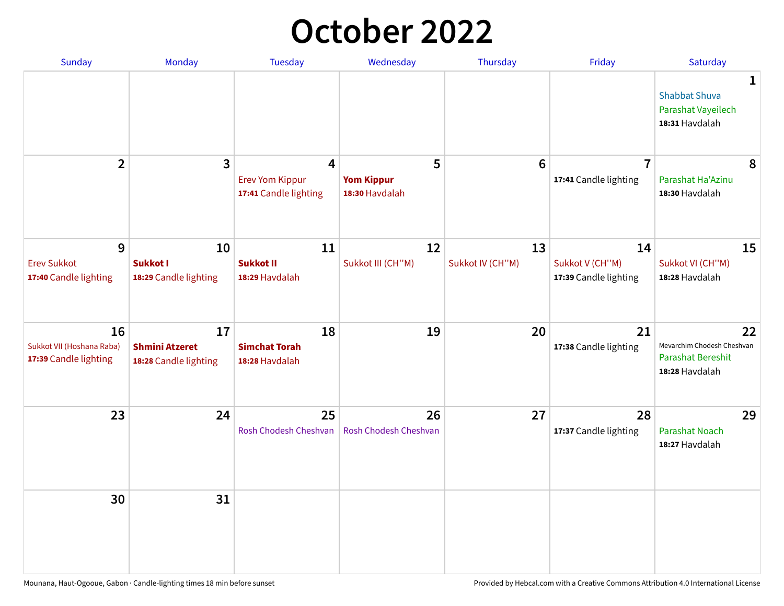## **October 2022**

| Sunday                                                   | Monday                                               | <b>Tuesday</b>                                                    | Wednesday                                | Thursday               | Friday                                         | Saturday                                                                       |
|----------------------------------------------------------|------------------------------------------------------|-------------------------------------------------------------------|------------------------------------------|------------------------|------------------------------------------------|--------------------------------------------------------------------------------|
|                                                          |                                                      |                                                                   |                                          |                        |                                                | 1<br><b>Shabbat Shuva</b><br>Parashat Vayeilech<br>18:31 Havdalah              |
| $\overline{2}$                                           | $\overline{3}$                                       | $\overline{4}$<br><b>Erev Yom Kippur</b><br>17:41 Candle lighting | 5<br><b>Yom Kippur</b><br>18:30 Havdalah | $6\phantom{1}6$        | $\overline{7}$<br>17:41 Candle lighting        | 8<br>Parashat Ha'Azinu<br>18:30 Havdalah                                       |
| 9<br><b>Erev Sukkot</b><br>17:40 Candle lighting         | 10<br><b>Sukkot I</b><br>18:29 Candle lighting       | 11<br><b>Sukkot II</b><br>18:29 Havdalah                          | 12<br>Sukkot III (CH"M)                  | 13<br>Sukkot IV (CH"M) | 14<br>Sukkot V (CH"M)<br>17:39 Candle lighting | 15<br>Sukkot VI (CH"M)<br>18:28 Havdalah                                       |
| 16<br>Sukkot VII (Hoshana Raba)<br>17:39 Candle lighting | 17<br><b>Shmini Atzeret</b><br>18:28 Candle lighting | 18<br><b>Simchat Torah</b><br>18:28 Havdalah                      | 19                                       | 20                     | 21<br>17:38 Candle lighting                    | 22<br>Mevarchim Chodesh Cheshvan<br><b>Parashat Bereshit</b><br>18:28 Havdalah |
| 23                                                       | 24                                                   | 25<br>Rosh Chodesh Cheshvan                                       | 26<br>Rosh Chodesh Cheshvan              | 27                     | 28<br>17:37 Candle lighting                    | 29<br><b>Parashat Noach</b><br>18:27 Havdalah                                  |
| 30                                                       | 31                                                   |                                                                   |                                          |                        |                                                |                                                                                |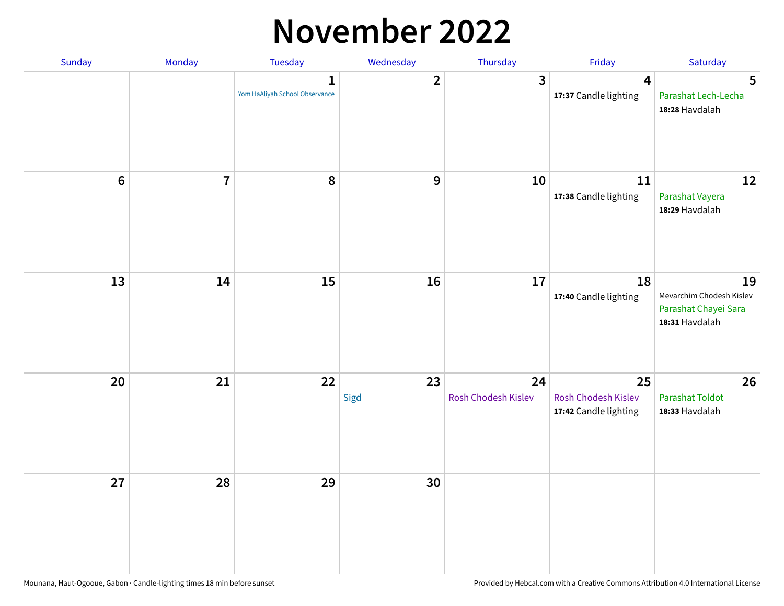### **November 2022**

| Sunday         | Monday         | Tuesday                             | Wednesday      | Thursday                  | Friday                                             | Saturday                                                                 |
|----------------|----------------|-------------------------------------|----------------|---------------------------|----------------------------------------------------|--------------------------------------------------------------------------|
|                |                | 1<br>Yom HaAliyah School Observance | $\overline{2}$ | $\mathbf{3}$              | $\overline{\mathbf{4}}$<br>17:37 Candle lighting   | 5<br>Parashat Lech-Lecha<br>18:28 Havdalah                               |
| $6\phantom{a}$ | $\overline{7}$ | 8                                   | $\mathbf{9}$   | 10                        | 11<br>17:38 Candle lighting                        | 12<br>Parashat Vayera<br>18:29 Havdalah                                  |
| 13             | 14             | 15                                  | 16             | 17                        | 18<br>17:40 Candle lighting                        | 19<br>Mevarchim Chodesh Kislev<br>Parashat Chayei Sara<br>18:31 Havdalah |
| 20             | 21             | 22                                  | 23<br>Sigd     | 24<br>Rosh Chodesh Kislev | 25<br>Rosh Chodesh Kislev<br>17:42 Candle lighting | 26<br><b>Parashat Toldot</b><br>18:33 Havdalah                           |
| 27             | 28             | 29                                  | 30             |                           |                                                    |                                                                          |